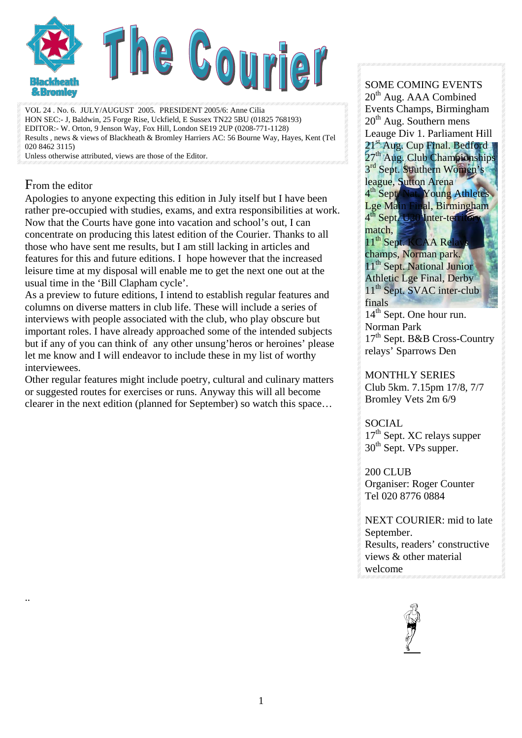

VOL 24 . No. 6. JULY/AUGUST 2005. PRESIDENT 2005/6: Anne Cilia HON SEC:- J, Baldwin, 25 Forge Rise, Uckfield, E Sussex TN22 5BU (01825 768193) EDITOR:- W. Orton, 9 Jenson Way, Fox Hill, London SE19 2UP (0208-771-1128) Results , news & views of Blackheath & Bromley Harriers AC: 56 Bourne Way, Hayes, Kent (Tel 020 8462 3115)

Unless otherwise attributed, views are those of the Editor.

#### From the editor

..

Apologies to anyone expecting this edition in July itself but I have been rather pre-occupied with studies, exams, and extra responsibilities at work. Now that the Courts have gone into vacation and school's out, I can concentrate on producing this latest edition of the Courier. Thanks to all those who have sent me results, but I am still lacking in articles and features for this and future editions. I hope however that the increased leisure time at my disposal will enable me to get the next one out at the usual time in the 'Bill Clapham cycle'.

As a preview to future editions, I intend to establish regular features and columns on diverse matters in club life. These will include a series of interviews with people associated with the club, who play obscure but important roles. I have already approached some of the intended subjects but if any of you can think of any other unsung'heros or heroines' please let me know and I will endeavor to include these in my list of worthy interviewees.

Other regular features might include poetry, cultural and culinary matters or suggested routes for exercises or runs. Anyway this will all become clearer in the next edition (planned for September) so watch this space…

#### SOME COMING EVENTS  $20<sup>th</sup>$  Aug. AAA Combined Events Champs, Birmingham  $20<sup>th</sup>$  Aug. Southern mens Leauge Div 1. Parliament Hill 21<sup>st</sup> Aug. Cup Final. Bedford 27<sup>th</sup> Aug. Club Championships 3<sup>rd</sup> Sept. Southern Women's league, Sutton Arena 4<sup>th</sup> Sept. Nat. Young Athletes Lge Main Final, Birmingham 4<sup>th</sup> Sept. U20 Inter-territory match. 11<sup>th</sup> Sept. KCAA Re champs, Norman park. 11<sup>th</sup> Sept. National Junior Athletic Lge Final, Derby 11<sup>th</sup> Sept. SVAC inter-club finals 14<sup>th</sup> Sept. One hour run. Norman Park 17<sup>th</sup> Sept. B&B Cross-Country relays' Sparrows Den

MONTHLY SERIES Club 5km. 7.15pm 17/8, 7/7 Bromley Vets 2m 6/9

#### **SOCIAL** 17<sup>th</sup> Sept. XC relays supper 30<sup>th</sup> Sept. VPs supper.

200 CLUB Organiser: Roger Counter Tel 020 8776 0884

NEXT COURIER: mid to late September. Results, readers' constructive views & other material welcome

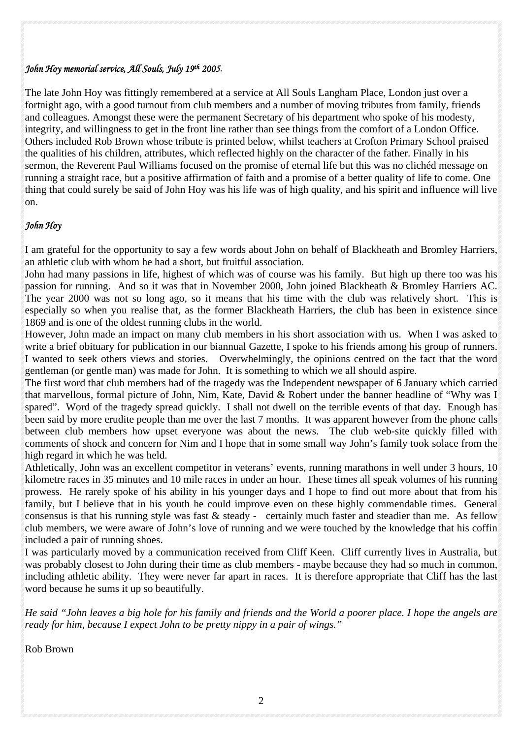#### *John Hoy memorial service, All Souls, July 19th 2005.*

The late John Hoy was fittingly remembered at a service at All Souls Langham Place, London just over a fortnight ago, with a good turnout from club members and a number of moving tributes from family, friends and colleagues. Amongst these were the permanent Secretary of his department who spoke of his modesty, integrity, and willingness to get in the front line rather than see things from the comfort of a London Office. Others included Rob Brown whose tribute is printed below, whilst teachers at Crofton Primary School praised the qualities of his children, attributes, which reflected highly on the character of the father. Finally in his sermon, the Reverent Paul Williams focused on the promise of eternal life but this was no clichéd message on running a straight race, but a positive affirmation of faith and a promise of a better quality of life to come. One thing that could surely be said of John Hoy was his life was of high quality, and his spirit and influence will live on.

#### *John Hoy*

I am grateful for the opportunity to say a few words about John on behalf of Blackheath and Bromley Harriers, an athletic club with whom he had a short, but fruitful association.

John had many passions in life, highest of which was of course was his family. But high up there too was his passion for running. And so it was that in November 2000, John joined Blackheath & Bromley Harriers AC. The year 2000 was not so long ago, so it means that his time with the club was relatively short. This is especially so when you realise that, as the former Blackheath Harriers, the club has been in existence since 1869 and is one of the oldest running clubs in the world.

However, John made an impact on many club members in his short association with us. When I was asked to write a brief obituary for publication in our biannual Gazette, I spoke to his friends among his group of runners. I wanted to seek others views and stories. Overwhelmingly, the opinions centred on the fact that the word gentleman (or gentle man) was made for John. It is something to which we all should aspire.

The first word that club members had of the tragedy was the Independent newspaper of 6 January which carried that marvellous, formal picture of John, Nim, Kate, David & Robert under the banner headline of "Why was I spared". Word of the tragedy spread quickly. I shall not dwell on the terrible events of that day. Enough has been said by more erudite people than me over the last 7 months. It was apparent however from the phone calls between club members how upset everyone was about the news. The club web-site quickly filled with comments of shock and concern for Nim and I hope that in some small way John's family took solace from the high regard in which he was held.

Athletically, John was an excellent competitor in veterans' events, running marathons in well under 3 hours, 10 kilometre races in 35 minutes and 10 mile races in under an hour. These times all speak volumes of his running prowess. He rarely spoke of his ability in his younger days and I hope to find out more about that from his family, but I believe that in his youth he could improve even on these highly commendable times. General consensus is that his running style was fast & steady - certainly much faster and steadier than me. As fellow club members, we were aware of John's love of running and we were touched by the knowledge that his coffin included a pair of running shoes.

I was particularly moved by a communication received from Cliff Keen. Cliff currently lives in Australia, but was probably closest to John during their time as club members - maybe because they had so much in common, including athletic ability. They were never far apart in races. It is therefore appropriate that Cliff has the last word because he sums it up so beautifully.

*He said "John leaves a big hole for his family and friends and the World a poorer place. I hope the angels are ready for him, because I expect John to be pretty nippy in a pair of wings."* 

Rob Brown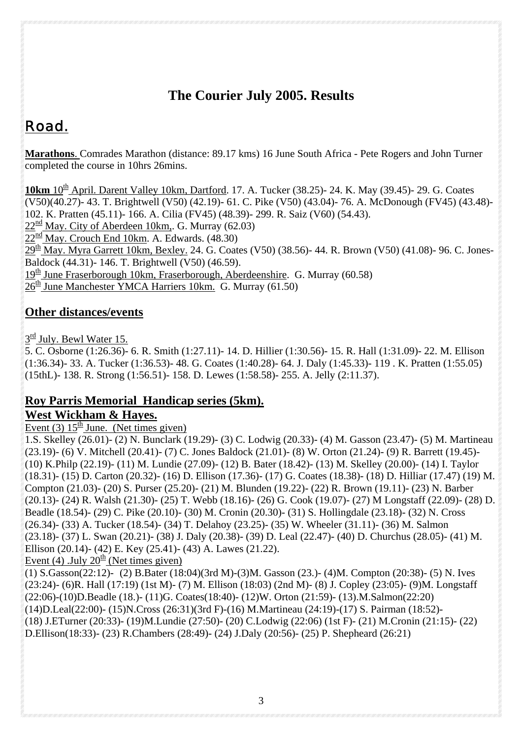## **The Courier July 2005. Results**

# Road.

**Marathons**. Comrades Marathon (distance: 89.17 kms) 16 June South Africa - Pete Rogers and John Turner completed the course in 10hrs 26mins.

10km 10<sup>th</sup> April. Darent Valley 10km, Dartford. 17. A. Tucker (38.25)- 24. K. May (39.45)- 29. G. Coates (V50)(40.27)- 43. T. Brightwell (V50) (42.19)- 61. C. Pike (V50) (43.04)- 76. A. McDonough (FV45) (43.48)- 102. K. Pratten (45.11)- 166. A. Cilia (FV45) (48.39)- 299. R. Saiz (V60) (54.43).  $22^{\text{nd}}$  May. City of Aberdeen 10km,. G. Murray (62.03)  $22^{\text{nd}}$  May. Crouch End 10km. A. Edwards.  $(48.30)$  $29<sup>th</sup>$  May. Myra Garrett 10km, Bexley. 24. G. Coates (V50) (38.56)- 44. R. Brown (V50) (41.08)- 96. C. Jones-Baldock (44.31)- 146. T. Brightwell (V50) (46.59).  $19<sup>th</sup>$  June Fraserborough 10km, Fraserborough, Aberdeenshire. G. Murray (60.58)  $26<sup>th</sup>$  June Manchester YMCA Harriers 10km. G. Murray (61.50)

## **Other distances/events**

### $3^{\text{rd}}$  July. Bewl Water 15.

5. C. Osborne (1:26.36)- 6. R. Smith (1:27.11)- 14. D. Hillier (1:30.56)- 15. R. Hall (1:31.09)- 22. M. Ellison (1:36.34)- 33. A. Tucker (1:36.53)- 48. G. Coates (1:40.28)- 64. J. Daly (1:45.33)- 119 . K. Pratten (1:55.05) (15thL)- 138. R. Strong (1:56.51)- 158. D. Lewes (1:58.58)- 255. A. Jelly (2:11.37).

### **Roy Parris Memorial Handicap series (5km). West Wickham & Hayes.**

Event (3)  $15<sup>th</sup>$  June. (Net times given)

1.S. Skelley (26.01)- (2) N. Bunclark (19.29)- (3) C. Lodwig (20.33)- (4) M. Gasson (23.47)- (5) M. Martineau (23.19)- (6) V. Mitchell (20.41)- (7) C. Jones Baldock (21.01)- (8) W. Orton (21.24)- (9) R. Barrett (19.45)- (10) K.Philp (22.19)- (11) M. Lundie (27.09)- (12) B. Bater (18.42)- (13) M. Skelley (20.00)- (14) I. Taylor (18.31)- (15) D. Carton (20.32)- (16) D. Ellison (17.36)- (17) G. Coates (18.38)- (18) D. Hilliar (17.47) (19) M. Compton (21.03)- (20) S. Purser (25.20)- (21) M. Blunden (19.22)- (22) R. Brown (19.11)- (23) N. Barber (20.13)- (24) R. Walsh (21.30)- (25) T. Webb (18.16)- (26) G. Cook (19.07)- (27) M Longstaff (22.09)- (28) D. Beadle (18.54)- (29) C. Pike (20.10)- (30) M. Cronin (20.30)- (31) S. Hollingdale (23.18)- (32) N. Cross (26.34)- (33) A. Tucker (18.54)- (34) T. Delahoy (23.25)- (35) W. Wheeler (31.11)- (36) M. Salmon (23.18)- (37) L. Swan (20.21)- (38) J. Daly (20.38)- (39) D. Leal (22.47)- (40) D. Churchus (28.05)- (41) M. Ellison (20.14)- (42) E. Key (25.41)- (43) A. Lawes (21.22). Event (4) .July  $20^{\frac{th}{2}}$  (Net times given)

(1) S.Gasson(22:12)- (2) B.Bater (18:04)(3rd M)-(3)M. Gasson (23.)- (4)M. Compton (20:38)- (5) N. Ives (23:24)- (6)R. Hall (17:19) (1st M)- (7) M. Ellison (18:03) (2nd M)- (8) J. Copley (23:05)- (9)M. Longstaff (22:06)-(10)D.Beadle (18.)- (11)G. Coates(18:40)- (12)W. Orton (21:59)- (13).M.Salmon(22:20) (14)D.Leal(22:00)- (15)N.Cross (26:31)(3rd F)-(16) M.Martineau (24:19)-(17) S. Pairman (18:52)- (18) J.ETurner (20:33)- (19)M.Lundie (27:50)- (20) C.Lodwig (22:06) (1st F)- (21) M.Cronin (21:15)- (22) D.Ellison(18:33)- (23) R.Chambers (28:49)- (24) J.Daly (20:56)- (25) P. Shepheard (26:21)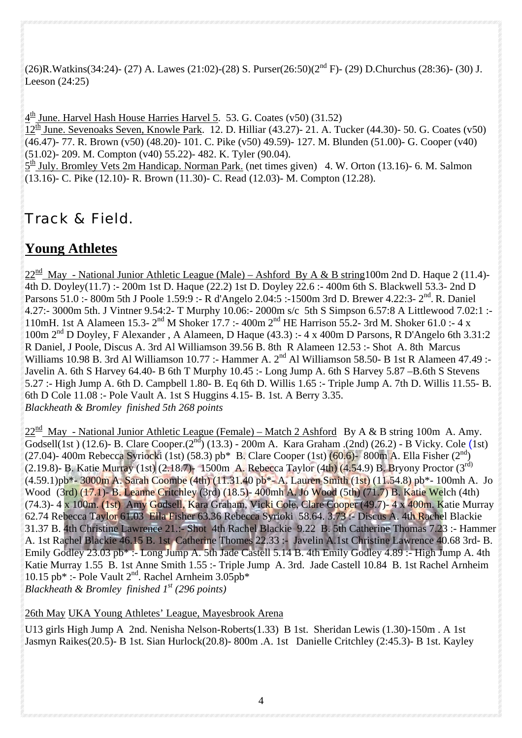(26)R.Watkins(34:24)- (27) A. Lawes (21:02)-(28) S. Purser(26:50)(2nd F)- (29) D.Churchus (28:36)- (30) J. Leeson (24:25)

 $4<sup>th</sup>$  June. Harvel Hash House Harries Harvel 5. 53. G. Coates (v50) (31.52)

 $12<sup>th</sup>$  June. Sevenoaks Seven, Knowle Park. 12. D. Hilliar (43.27)- 21. A. Tucker (44.30)- 50. G. Coates (v50) (46.47)- 77. R. Brown (v50) (48.20)- 101. C. Pike (v50) 49.59)- 127. M. Blunden (51.00)- G. Cooper (v40) (51.02)- 209. M. Compton (v40) 55.22)- 482. K. Tyler (90.04).

 $5<sup>th</sup>$  July. Bromley Vets 2m Handicap. Norman Park. (net times given) 4. W. Orton (13.16)-6. M. Salmon (13.16)- C. Pike (12.10)- R. Brown (11.30)- C. Read (12.03)- M. Compton (12.28).

## Track & Field.

## **Young Athletes**

 $22^{\text{nd}}$  May - National Junior Athletic League (Male) – Ashford By A & B string100m 2nd D. Haque 2 (11.4)-4th D. Doyley(11.7) :- 200m 1st D. Haque (22.2) 1st D. Doyley 22.6 :- 400m 6th S. Blackwell 53.3- 2nd D Parsons 51.0 :- 800m 5th J Poole 1.59:9 :- R d'Angelo 2.04:5 :-1500m 3rd D. Brewer 4.22:3- 2<sup>nd</sup>. R. Daniel 4.27:- 3000m 5th. J Vintner 9.54:2- T Murphy 10.06:- 2000m s/c 5th S Simpson 6.57:8 A Littlewood 7.02:1 :-110mH. 1st A Alameen 15.3- 2nd M Shoker 17.7 :- 400m 2nd HE Harrison 55.2- 3rd M. Shoker 61.0 :- 4 x 100m 2nd D Doyley, F Alexander , A Alameen, D Haque (43.3) :- 4 x 400m D Parsons, R D'Angelo 6th 3.31:2 R Daniel, J Poole, Discus A. 3rd Al Williamson 39.56 B. 8th R Alameen 12.53 :- Shot A. 8th Marcus Williams 10.98 B. 3rd Al Williamson 10.77 :- Hammer A. 2<sup>nd</sup> Al Williamson 58.50- B 1st R Alameen 47.49 :-Javelin A. 6th S Harvey 64.40- B 6th T Murphy 10.45 :- Long Jump A. 6th S Harvey 5.87 –B.6th S Stevens 5.27 :- High Jump A. 6th D. Campbell 1.80- B. Eq 6th D. Willis 1.65 :- Triple Jump A. 7th D. Willis 11.55- B. 6th D Cole 11.08 :- Pole Vault A. 1st S Huggins 4.15- B. 1st. A Berry 3.35. *Blackheath & Bromley finished 5th 268 points* 

 $22^{\text{nd}}$  May - National Junior Athletic League (Female) – Match 2 Ashford By A & B string 100m A. Amy. Godsell(1st) (12.6)- B. Clare Cooper.(2<sup>nd</sup>) (13.3) - 200m A. Kara Graham .(2nd) (26.2) - B Vicky. Cole (1st) (27.04)- 400m Rebecca Syriocki (1st) (58.3) pb\* B. Clare Cooper (1st) (60.6)- 800m A. Ella Fisher (2<sup>nd</sup>) (2.19.8)- B. Katie Murray (1st) (2.18.7)- 1500m A. Rebecca Taylor (4th) (4.54.9) B. Bryony Proctor (3rd) (4.59.1)pb\*- 3000m A. Sarah Coombe (4th) (11.31.40 pb\*- A. Lauren Smith (1st) (11.54.8) pb\*- 100mh A. Jo Wood (3rd) (17.1)- B. Leanne Critchley (3rd) (18.5)- 400mh A. Jo Wood (5th) (71.7) B. Katie Welch (4th) (74.3)- 4 x 100m. (1st) Amy Godsell, Kara Graham, Vicki Cole, Clare Cooper (49.7)- 4 x 400m. Katie Murray 62.74 Rebecca Taylor 61.03 Ella Fisher 63.36 Rebecca Syrioki 58.64. 3.73 :- Discus A. 4th Rachel Blackie 31.37 B. 4th Christine Lawrence 21.:- Shot 4th Rachel Blackie 9.22 B. 5th Catherine Thomas 7.23 :- Hammer A. 1st Rachel Blackie 46.15 B. 1st Catherine Thomes 22.33 :- Javelin A.1st Christine Lawrence 40.68 3rd- B. Emily Godley 23.03 pb\* :- Long Jump A. 5th Jade Castell 5.14 B. 4th Emily Godley 4.89 :- High Jump A. 4th Katie Murray 1.55 B. 1st Anne Smith 1.55 :- Triple Jump A. 3rd. Jade Castell 10.84 B. 1st Rachel Arnheim 10.15 pb\* :- Pole Vault  $2<sup>nd</sup>$ . Rachel Arnheim 3.05pb\* *Blackheath & Bromley finished 1st (296 points)*

26th May UKA Young Athletes' League, Mayesbrook Arena

U13 girls High Jump A 2nd. Nenisha Nelson-Roberts(1.33) B 1st. Sheridan Lewis (1.30)-150m . A 1st Jasmyn Raikes(20.5)- B 1st. Sian Hurlock(20.8)- 800m .A. 1st Danielle Critchley (2:45.3)- B 1st. Kayley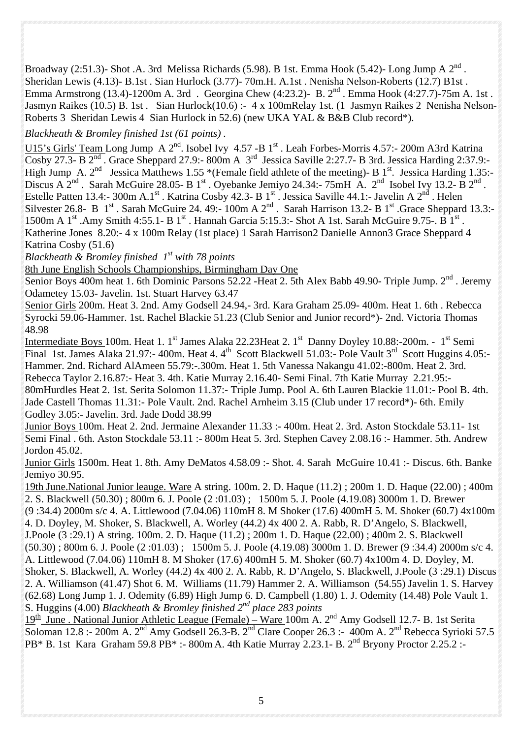Broadway (2:51.3)- Shot .A. 3rd Melissa Richards (5.98). B 1st. Emma Hook (5.42)- Long Jump A  $2^{nd}$ . Sheridan Lewis (4.13)- B.1st . Sian Hurlock (3.77)- 70m.H. A.1st . Nenisha Nelson-Roberts (12.7) B1st . Emma Armstrong (13.4)-1200m A. 3rd . Georgina Chew (4:23.2)- B. 2<sup>nd</sup> . Emma Hook (4:27.7)-75m A. 1st . Jasmyn Raikes (10.5) B. 1st . Sian Hurlock(10.6) :- 4 x 100mRelay 1st. (1 Jasmyn Raikes 2 Nenisha Nelson-Roberts 3 Sheridan Lewis 4 Sian Hurlock in 52.6) (new UKA YAL & B&B Club record\*).

*Blackheath & Bromley finished 1st (61 points) .*

U15's Girls' Team Long Jump A  $2^{nd}$ . Isobel Ivy 4.57 -B  $1^{st}$ . Leah Forbes-Morris 4.57:- 200m A3rd Katrina Cosby 27.3- B  $2<sup>nd</sup>$ . Grace Sheppard 27.9:- 800m A  $3<sup>rd</sup>$  Jessica Saville 2:27.7- B 3rd. Jessica Harding 2:37.9:-High Jump A. 2<sup>nd</sup> Jessica Matthews 1.55 \*(Female field athlete of the meeting)- B 1<sup>st</sup>. Jessica Harding 1.35:-Discus A  $2<sup>nd</sup>$ . Sarah McGuire 28.05- B 1<sup>st</sup> . Oyebanke Jemiyo 24.34:- 75mH A.  $2<sup>nd</sup>$  Isobel Ivy 13.2- B  $2<sup>nd</sup>$ . Estelle Patten 13.4:- 300m A.1st . Katrina Cosby 42.3- B 1st . Jessica Saville 44.1:- Javelin A  $2^{nd}$  . Helen Silvester 26.8- B 1<sup>st</sup> . Sarah McGuire 24. 49:- 100m A 2<sup>nd</sup> . Sarah Harrison 13.2- B 1<sup>st</sup> . Grace Sheppard 13.3:-1500m A 1<sup>st</sup> .Amy Smith 4:55.1- B 1<sup>st</sup> . Hannah Garcia 5:15.3:- Shot A 1st. Sarah McGuire 9.75-. B 1<sup>st</sup> . Katherine Jones 8.20:- 4 x 100m Relay (1st place) 1 Sarah Harrison2 Danielle Annon3 Grace Sheppard 4 Katrina Cosby (51.6)

*Blackheath & Bromley finished 1st with 78 points* 

8th June English Schools Championships, Birmingham Day One

Senior Boys 400m heat 1. 6th Dominic Parsons 52.22 -Heat 2. 5th Alex Babb 49.90- Triple Jump. 2<sup>nd</sup>. Jeremy Odametey 15.03- Javelin. 1st. Stuart Harvey 63.47

Senior Girls 200m. Heat 3. 2nd. Amy Godsell 24.94,- 3rd. Kara Graham 25.09- 400m. Heat 1. 6th . Rebecca Syrocki 59.06-Hammer. 1st. Rachel Blackie 51.23 (Club Senior and Junior record\*)- 2nd. Victoria Thomas 48.98

Intermediate Boys 100m. Heat 1. 1<sup>st</sup> James Alaka 22.23 Heat 2. 1<sup>st</sup> Danny Doyley 10.88:-200m. - 1<sup>st</sup> Semi Final 1st. James Alaka 21.97:- 400m. Heat 4.  $4<sup>th</sup>$  Scott Blackwell 51.03:- Pole Vault 3<sup>rd</sup> Scott Huggins 4.05:-Hammer. 2nd. Richard AlAmeen 55.79:-.300m. Heat 1. 5th Vanessa Nakangu 41.02:-800m. Heat 2. 3rd. Rebecca Taylor 2.16.87:- Heat 3. 4th. Katie Murray 2.16.40- Semi Final. 7th Katie Murray 2.21.95:- 80mHurdles Heat 2. 1st. Serita Solomon 11.37:- Triple Jump. Pool A. 6th Lauren Blackie 11.01:- Pool B. 4th. Jade Castell Thomas 11.31:- Pole Vault. 2nd. Rachel Arnheim 3.15 (Club under 17 record\*)- 6th. Emily Godley 3.05:- Javelin. 3rd. Jade Dodd 38.99

Junior Boys 100m. Heat 2. 2nd. Jermaine Alexander 11.33 :- 400m. Heat 2. 3rd. Aston Stockdale 53.11- 1st Semi Final . 6th. Aston Stockdale 53.11 :- 800m Heat 5. 3rd. Stephen Cavey 2.08.16 :- Hammer. 5th. Andrew Jordon 45.02.

Junior Girls 1500m. Heat 1. 8th. Amy DeMatos 4.58.09 :- Shot. 4. Sarah McGuire 10.41 :- Discus. 6th. Banke Jemiyo 30.95.

19th June.National Junior leauge. Ware A string. 100m. 2. D. Haque (11.2) ; 200m 1. D. Haque (22.00) ; 400m 2. S. Blackwell (50.30) ; 800m 6. J. Poole (2 :01.03) ; 1500m 5. J. Poole (4.19.08) 3000m 1. D. Brewer (9 :34.4) 2000m s/c 4. A. Littlewood (7.04.06) 110mH 8. M Shoker (17.6) 400mH 5. M. Shoker (60.7) 4x100m 4. D. Doyley, M. Shoker, S. Blackwell, A. Worley (44.2) 4x 400 2. A. Rabb, R. D'Angelo, S. Blackwell, J.Poole (3 :29.1) A string. 100m. 2. D. Haque (11.2) ; 200m 1. D. Haque (22.00) ; 400m 2. S. Blackwell (50.30) ; 800m 6. J. Poole (2 :01.03) ; 1500m 5. J. Poole (4.19.08) 3000m 1. D. Brewer (9 :34.4) 2000m s/c 4. A. Littlewood (7.04.06) 110mH 8. M Shoker (17.6) 400mH 5. M. Shoker (60.7) 4x100m 4. D. Doyley, M. Shoker, S. Blackwell, A. Worley (44.2) 4x 400 2. A. Rabb, R. D'Angelo, S. Blackwell, J.Poole (3 :29.1) Discus 2. A. Williamson (41.47) Shot 6. M. Williams (11.79) Hammer 2. A. Williamson (54.55) Javelin 1. S. Harvey (62.68) Long Jump 1. J. Odemity (6.89) High Jump 6. D. Campbell (1.80) 1. J. Odemity (14.48) Pole Vault 1. S. Huggins (4.00) *Blackheath & Bromley finished 2nd place 283 points* 

19<sup>th</sup> June . National Junior Athletic League (Female) – Ware 100m A. 2<sup>nd</sup> Amy Godsell 12.7- B. 1st Serita Soloman 12.8 :- 200m A.  $2^{nd}$  Amy Godsell 26.3-B.  $2^{nd}$  Clare Cooper 26.3 :- 400m A.  $2^{nd}$  Rebecca Syrioki 57.5 PB\* B. 1st Kara Graham 59.8 PB\* :- 800m A. 4th Katie Murray 2.23.1- B. 2<sup>nd</sup> Bryony Proctor 2.25.2 :-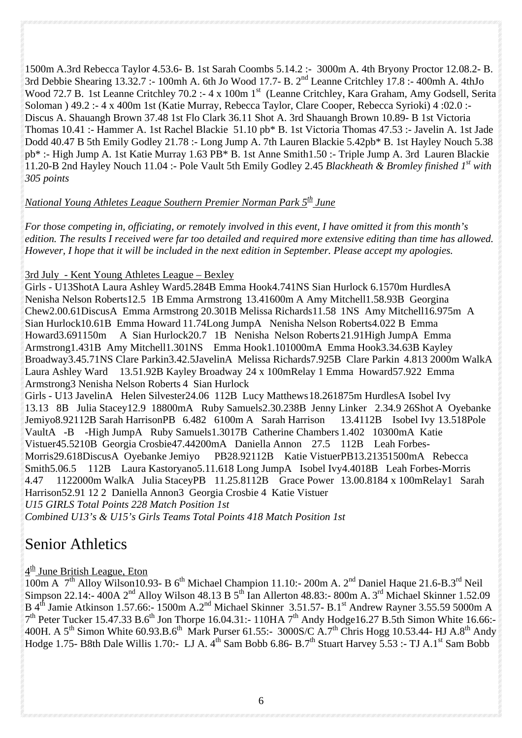1500m A.3rd Rebecca Taylor 4.53.6- B. 1st Sarah Coombs 5.14.2 :- 3000m A. 4th Bryony Proctor 12.08.2- B. 3rd Debbie Shearing 13.32.7 :- 100mh A. 6th Jo Wood 17.7- B. 2nd Leanne Critchley 17.8 :- 400mh A. 4thJo Wood 72.7 B. 1st Leanne Critchley 70.2 :- 4 x 100m 1st (Leanne Critchley, Kara Graham, Amy Godsell, Serita Soloman ) 49.2 :- 4 x 400m 1st (Katie Murray, Rebecca Taylor, Clare Cooper, Rebecca Syrioki) 4 :02.0 :- Discus A. Shauangh Brown 37.48 1st Flo Clark 36.11 Shot A. 3rd Shauangh Brown 10.89- B 1st Victoria Thomas 10.41 :- Hammer A. 1st Rachel Blackie 51.10 pb\* B. 1st Victoria Thomas 47.53 :- Javelin A. 1st Jade Dodd 40.47 B 5th Emily Godley 21.78 :- Long Jump A. 7th Lauren Blackie 5.42pb\* B. 1st Hayley Nouch 5.38 pb\* :- High Jump A. 1st Katie Murray 1.63 PB\* B. 1st Anne Smith1.50 :- Triple Jump A. 3rd Lauren Blackie 11.20-B 2nd Hayley Nouch 11.04 :- Pole Vault 5th Emily Godley 2.45 *Blackheath & Bromley finished 1st with 305 points* 

#### *National Young Athletes League Southern Premier Norman Park 5th June*

*For those competing in, officiating, or remotely involved in this event, I have omitted it from this month's edition. The results I received were far too detailed and required more extensive editing than time has allowed. However, I hope that it will be included in the next edition in September. Please accept my apologies.* 

#### 3rd July - Kent Young Athletes League – Bexley

Girls - U13ShotA Laura Ashley Ward5.284B Emma Hook4.741NS Sian Hurlock 6.1570m HurdlesA Nenisha Nelson Roberts12.5 1B Emma Armstrong 13.41600m A Amy Mitchell1.58.93B Georgina Chew2.00.61DiscusA Emma Armstrong 20.301B Melissa Richards11.58 1NS Amy Mitchell16.975m A Sian Hurlock10.61B Emma Howard 11.74Long JumpA Nenisha Nelson Roberts4.022 B Emma Howard3.691150m A Sian Hurlock20.7 1B Nenisha Nelson Roberts 21.91High JumpA Emma Armstrong1.431B Amy Mitchell1.301NS Emma Hook1.101000mA Emma Hook3.34.63B Kayley Broadway3.45.71NS Clare Parkin3.42.5JavelinA Melissa Richards7.925B Clare Parkin 4.813 2000m WalkA Laura Ashley Ward 13.51.92B Kayley Broadway 24 x 100mRelay 1 Emma Howard57.922 Emma Armstrong3 Nenisha Nelson Roberts 4 Sian Hurlock

Girls - U13 JavelinA Helen Silvester24.06 112B Lucy Matthews 18.261875m HurdlesA Isobel Ivy 13.13 8B Julia Stacey12.9 18800mA Ruby Samuels2.30.238B Jenny Linker 2.34.9 26Shot A Oyebanke Jemiyo8.92112B Sarah HarrisonPB 6.482 6100m A Sarah Harrison 13.4112B Isobel Ivy13.518Pole VaultA -B -High JumpA Ruby Samuels1.3017B Catherine Chambers 1.402 10300mA Katie Vistuer45.5210B Georgia Crosbie47.44200mA Daniella Annon 27.5 112B Leah Forbes-Morris29.618DiscusA Oyebanke Jemiyo PB28.92112B Katie VistuerPB13.21351500mA Rebecca Smith5.06.5 112B Laura Kastoryano5.11.618 Long JumpA Isobel Ivy4.4018B Leah Forbes-Morris 4.47 1122000m WalkA Julia StaceyPB 11.25.8112B Grace Power 13.00.8184 x 100mRelay1 Sarah Harrison52.91 12 2 Daniella Annon3 Georgia Crosbie 4 Katie Vistuer *U15 GIRLS Total Points 228 Match Position 1st* 

*Combined U13's & U15's Girls Teams Total Points 418 Match Position 1st* 

## Senior Athletics

### $4<sup>th</sup>$  June British League, Eton

 $\frac{1}{100m}$  A  $7<sup>th</sup>$  Alloy Wilson10.93- B 6<sup>th</sup> Michael Champion 11.10:- 200m A. 2<sup>nd</sup> Daniel Haque 21.6-B.3<sup>rd</sup> Neil Simpson 22.14:- 400A 2<sup>nd</sup> Alloy Wilson 48.13 B 5<sup>th</sup> Ian Allerton 48.83:- 800m A. 3<sup>rd</sup> Michael Skinner 1.52.09 B 4th Jamie Atkinson 1.57.66:- 1500m A.2nd Michael Skinner 3.51.57- B.1st Andrew Rayner 3.55.59 5000m A 7<sup>th</sup> Peter Tucker 15.47.33 B.6<sup>th</sup> Jon Thorpe 16.04.31:- 110HA 7<sup>th</sup> Andy Hodge16.27 B.5th Simon White 16.66:-400H. A 5<sup>th</sup> Simon White 60.93.B.6<sup>th</sup> Mark Purser 61.55:- 3000S/C A.7<sup>th</sup> Chris Hogg 10.53.44- HJ A.8<sup>th</sup> Andy Hodge 1.75- B8th Dale Willis 1.70:- LJ A.  $4<sup>th</sup>$  Sam Bobb 6.86- B.7<sup>th</sup> Stuart Harvey 5.53 :- TJ A.1<sup>st</sup> Sam Bobb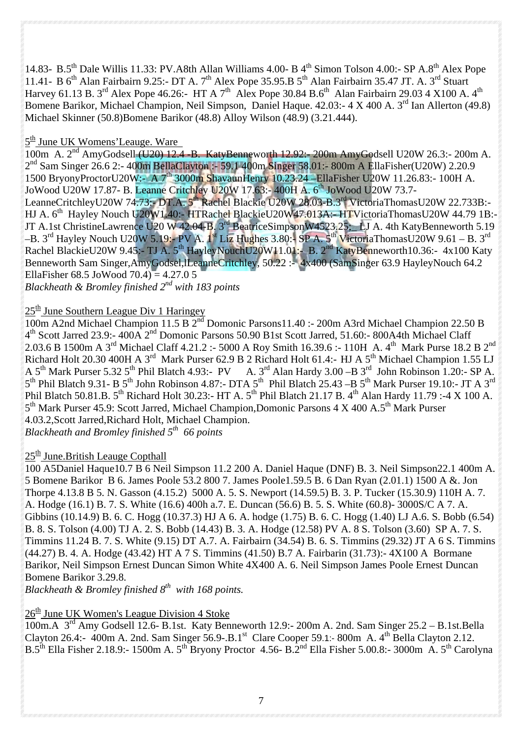14.83- B.5<sup>th</sup> Dale Willis 11.33: PV.A8th Allan Williams 4.00- B 4<sup>th</sup> Simon Tolson 4.00:- SP A.8<sup>th</sup> Alex Pope 11.41- B 6<sup>th</sup> Alan Fairbairn 9.25:- DT A. 7<sup>th</sup> Alex Pope 35.95.B 5<sup>th</sup> Alan Fairbairn 35.47 JT. A. 3<sup>rd</sup> Stuart Harvey 61.13 B. 3<sup>rd</sup> Alex Pope 46.26:- HT A 7<sup>th</sup> Alex Pope 30.84 B.6<sup>th</sup> Alan Fairbairn 29.03 4 X100 A. 4<sup>th</sup> Bomene Barikor, Michael Champion, Neil Simpson, Daniel Haque. 42.03:- 4 X 400 A. 3<sup>rd</sup> Ian Allerton (49.8) Michael Skinner (50.8)Bomene Barikor (48.8) Alloy Wilson (48.9) (3.21.444).

#### $5<sup>th</sup>$  June UK Womens' Leauge. Ware

 $100m$  A.  $2<sup>nd</sup>$  AmyGodsell (U20) 12.4 -B. KatyBenneworth 12.92:- 200m AmyGodsell U20W 26.3:- 200m A.  $2^{nd}$  Sam Singer 26.6 2:- 400m BellaClayton :- 59.1 400m Singer 58.01:- 800m A EllaFisher(U20W) 2.20.9 1500 BryonyProctorU20W:- A 7<sup>th</sup> 3000m ShavaunHenry 10.23.24 –EllaFisher U20W 11.26.83:- 100H A. JoWood U20W 17.87- B. Leanne Critchley U20W 17.63:- 400H A. 6<sup>th</sup> JoWood U20W 73.7-LeanneCritchleyU20W 74.73:- DT.A. 5<sup>th</sup> Rachel Blackie U20W 28.03-B.3<sup>rd</sup> VictoriaThomasU20W 22.733B:-HJ A. 6<sup>th</sup> Hayley Nouch U20W1.40:- HTRachel BlackieU20W47.013A:- HTVictoriaThomasU20W 44.79 1B:-JT A.1st ChristineLawrence U20 W 42.04-B. 3<sup>rd</sup> BeatriceSimpsonW4523.25; LJ A. 4th KatyBenneworth 5.19  $-$ B. 3<sup>rd</sup> Hayley Nouch U20W 5.19:- PV A. 1<sup>st</sup> Liz Hughes 3.80:- SP A. 5<sup>th</sup> VictoriaThomasU20W 9.61 – B. 3<sup>rd</sup> Rachel BlackieU20W 9.45:- TJ A. 5<sup>th</sup> HayleyNouchU20W11.01:- B. 2<sup>nd</sup> KatyBenneworth10.36:- 4x100 Katy Benneworth Sam Singer, Amy Godsel, ILeanne Critchley, 50.22 :- 4x400 (Sam Singer 63.9 Hayley Nouch 64.2 EllaFisher 68.5 JoWood  $70.4$  = 4.27.0 5

*Blackheath & Bromley finished 2nd with 183 points* 

### $25<sup>th</sup>$  June Southern League Div 1 Haringey

100m A2nd Michael Champion 11.5 B 2<sup>nd</sup> Domonic Parsons11.40 :- 200m A3rd Michael Champion 22.50 B 4th Scott Jarred 23.9:- 400A 2nd Domonic Parsons 50.90 B1st Scott Jarred, 51.60:- 800A4th Michael Claff 2.03.6 B 1500m A 3<sup>rd</sup> Michael Claff 4.21.2 :- 5000 A Roy Smith 16.39.6 :- 110H A. 4<sup>th</sup> Mark Purse 18.2 B 2<sup>nd</sup> Richard Holt 20.30 400H A 3<sup>rd</sup> Mark Purser 62.9 B 2 Richard Holt 61.4:- HJ A 5<sup>th</sup> Michael Champion 1.55 LJ A 5<sup>th</sup> Mark Purser 5.32 5<sup>th</sup> Phil Blatch 4.93:- PV A. 3<sup>rd</sup> Alan Hardy 3.00 -B 3<sup>rd</sup> John Robinson 1.20:- SP A.  $5<sup>th</sup>$  Phil Blatch 9.31- B  $5<sup>th</sup>$  John Robinson 4.87:- DTA  $5<sup>th</sup>$  Phil Blatch 25.43 –B  $5<sup>th</sup>$  Mark Purser 19.10:- JT A  $3<sup>rd</sup>$ Phil Blatch 50.81.B. 5<sup>th</sup> Richard Holt 30.23:- HT A. 5<sup>th</sup> Phil Blatch 21.17 B. 4<sup>th</sup> Alan Hardy 11.79 :-4 X 100 A.  $5<sup>th</sup>$  Mark Purser 45.9: Scott Jarred, Michael Champion, Domonic Parsons 4 X 400 A.5<sup>th</sup> Mark Purser 4.03.2,Scott Jarred,Richard Holt, Michael Champion.

*Blackheath and Bromley finished 5th 66 points*

#### $25<sup>th</sup>$  June. British Leauge Copthall

100 A5Daniel Haque10.7 B 6 Neil Simpson 11.2 200 A. Daniel Haque (DNF) B. 3. Neil Simpson22.1 400m A. 5 Bomene Barikor B 6. James Poole 53.2 800 7. James Poole1.59.5 B. 6 Dan Ryan (2.01.1) 1500 A &. Jon Thorpe 4.13.8 B 5. N. Gasson (4.15.2) 5000 A. 5. S. Newport (14.59.5) B. 3. P. Tucker (15.30.9) 110H A. 7. A. Hodge (16.1) B. 7. S. White (16.6) 400h a.7. E. Duncan (56.6) B. 5. S. White (60.8)- 3000S/C A 7. A. Gibbins (10.14.9) B. 6. C. Hogg (10.37.3) HJ A 6. A. hodge (1.75) B. 6. C. Hogg (1.40) LJ A.6. S. Bobb (6.54) B. 8. S. Tolson (4.00) TJ A. 2. S. Bobb (14.43) B. 3. A. Hodge (12.58) PV A. 8 S. Tolson (3.60) SP A. 7. S. Timmins 11.24 B. 7. S. White (9.15) DT A.7. A. Fairbairn (34.54) B. 6. S. Timmins (29.32) JT A 6 S. Timmins (44.27) B. 4. A. Hodge (43.42) HT A 7 S. Timmins (41.50) B.7 A. Fairbarin (31.73):- 4X100 A Bormane Barikor, Neil Simpson Ernest Duncan Simon White 4X400 A. 6. Neil Simpson James Poole Ernest Duncan Bomene Barikor 3.29.8.

*Blackheath & Bromley finished 8th with 168 points.* 

#### $26<sup>th</sup>$  June UK Women's League Division 4 Stoke

100m.A 3<sup>rd</sup> Amy Godsell 12.6- B.1st. Katy Benneworth 12.9:- 200m A. 2nd. Sam Singer 25.2 – B.1st.Bella Clayton 26.4:-  $400m$  A. 2nd. Sam Singer 56.9-.B.1st Clare Cooper 59.1:- 800m A. 4<sup>th</sup> Bella Clayton 2.12. B.5<sup>th</sup> Ella Fisher 2.18.9:- 1500m A. 5<sup>th</sup> Bryony Proctor 4.56- B.2<sup>nd</sup> Ella Fisher 5.00.8:- 3000m A. 5<sup>th</sup> Carolyna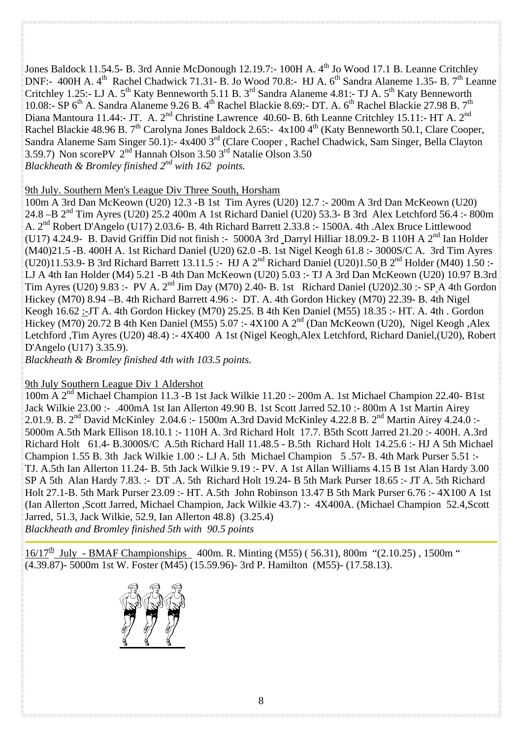Jones Baldock 11.54.5- B. 3rd Annie McDonough 12.19.7:- 100H A. 4<sup>th</sup> Jo Wood 17.1 B. Leanne Critchley DNF:- 400H A. 4<sup>th</sup> Rachel Chadwick 71.31- B. Jo Wood 70.8:- HJ A. 6<sup>th</sup> Sandra Alaneme 1.35- B. 7<sup>th</sup> Leanne Critchley 1.25:- LJ A. 5<sup>th</sup> Katy Benneworth 5.11 B. 3<sup>rd</sup> Sandra Alaneme 4.81:- TJ A. 5<sup>th</sup> Katy Benneworth 10.08:-  $\text{SP 6}^{\text{th}}$  A. Sandra Alaneme 9.26 B. 4<sup>th</sup> Rachel Blackie 8.69:- DT. A. 6<sup>th</sup> Rachel Blackie 27.98 B. 7<sup>th</sup> Diana Mantoura 11.44:- JT. A. 2<sup>nd</sup> Christine Lawrence 40.60- B. 6th Leanne Critchley 15.11:- HT A. 2<sup>nd</sup> Rachel Blackie 48.96 B.  $7<sup>th</sup>$  Carolyna Jones Baldock 2.65:- 4x100 4<sup>th</sup> (Katy Benneworth 50.1, Clare Cooper, Sandra Alaneme Sam Singer 50.1):- 4x400 3<sup>rd</sup> (Clare Cooper, Rachel Chadwick, Sam Singer, Bella Clayton 3.59.7) Non scorePV  $2<sup>nd</sup>$  Hannah Olson 3.50  $3<sup>rd</sup>$  Natalie Olson 3.50 *Blackheath & Bromley finished 2nd with 162 points.* 

#### 9th July. Southern Men's League Div Three South, Horsham

100m A 3rd Dan McKeown (U20) 12.3 -B 1st Tim Ayres (U20) 12.7 :- 200m A 3rd Dan McKeown (U20) 24.8 –B 2nd Tim Ayres (U20) 25.2 400m A 1st Richard Daniel (U20) 53.3- B 3rd Alex Letchford 56.4 :- 800m A.  $2^{nd}$  Robert D'Angelo (U17) 2.03.6- B. 4th Richard Barrett 2.33.8 :- 1500A. 4th .Alex Bruce Littlewood (U17) 4.24.9- B. David Griffin Did not finish :- 5000A 3rd Darryl Hilliar 18.09.2- B 110H A  $2<sup>nd</sup>$  Ian Holder (M40)21.5 -B. 400H A. 1st Richard Daniel (U20) 62.0 -B. 1st Nigel Keogh 61.8 :- 3000S/C A. 3rd Tim Ayres (U20)11.53.9- B 3rd Richard Barrett 13.11.5 :- HJ A  $2^{nd}$  Richard Daniel (U20)1.50 B  $2^{nd}$  Holder (M40) 1.50 :-LJ A 4th Ian Holder (M4) 5.21 -B 4th Dan McKeown (U20) 5.03 :- TJ A 3rd Dan McKeown (U20) 10.97 B.3rd Tim Ayres (U20) 9.83 :- PV A. 2<sup>nd</sup> Jim Day (M70) 2.40- B. 1st Richard Daniel (U20)2.30 :- SP A 4th Gordon Hickey (M70) 8.94 –B. 4th Richard Barrett 4.96 :- DT. A. 4th Gordon Hickey (M70) 22.39- B. 4th Nigel Keogh 16.62 :-JT A. 4th Gordon Hickey (M70) 25.25. B 4th Ken Daniel (M55) 18.35 :- HT. A. 4th . Gordon Hickey (M70) 20.72 B 4th Ken Daniel (M55) 5.07 :-  $4X100$  A  $2<sup>nd</sup>$  (Dan McKeown (U20), Nigel Keogh ,Alex Letchford ,Tim Ayres (U20) 48.4) :- 4X400 A 1st (Nigel Keogh,Alex Letchford, Richard Daniel,(U20), Robert D'Angelo (U17) 3.35.9).

*Blackheath & Bromley finished 4th with 103.5 points.* 

#### 9th July Southern League Div 1 Aldershot

100m A 2nd Michael Champion 11.3 -B 1st Jack Wilkie 11.20 :- 200m A. 1st Michael Champion 22.40- B1st Jack Wilkie 23.00 :- .400mA 1st Ian Allerton 49.90 B. 1st Scott Jarred 52.10 :- 800m A 1st Martin Airey 2.01.9. B. 2nd David McKinley 2.04.6 :- 1500m A.3rd David McKinley 4.22.8 B. 2nd Martin Airey 4.24.0 :- 5000m A.5th Mark Ellison 18.10.1 :- 110H A. 3rd Richard Holt 17.7. B5th Scott Jarred 21.20 :- 400H. A.3rd Richard Holt 61.4- B.3000S/C A.5th Richard Hall 11.48.5 - B.5th Richard Holt 14.25.6 :- HJ A 5th Michael Champion 1.55 B. 3th Jack Wilkie 1.00 :- LJ A. 5th Michael Champion 5 .57- B. 4th Mark Purser 5.51 :- TJ. A.5th Ian Allerton 11.24- B. 5th Jack Wilkie 9.19 :- PV. A 1st Allan Williams 4.15 B 1st Alan Hardy 3.00 SP A 5th Alan Hardy 7.83. :- DT .A. 5th Richard Holt 19.24- B 5th Mark Purser 18.65 :- JT A. 5th Richard Holt 27.1-B. 5th Mark Purser 23.09 :- HT. A.5th John Robinson 13.47 B 5th Mark Purser 6.76 :- 4X100 A 1st (Ian Allerton ,Scott Jarred, Michael Champion, Jack Wilkie 43.7) :- 4X400A. (Michael Champion 52.4,Scott Jarred, 51.3, Jack Wilkie, 52.9, Ian Allerton 48.8) (3.25.4) *Blackheath and Bromley finished 5th with 90.5 points* 

 $16/17^{\text{th}}$  July - BMAF Championships 400m. R. Minting (M55) (56.31), 800m "(2.10.25), 1500m " (4.39.87)- 5000m 1st W. Foster (M45) (15.59.96)- 3rd P. Hamilton (M55)- (17.58.13).

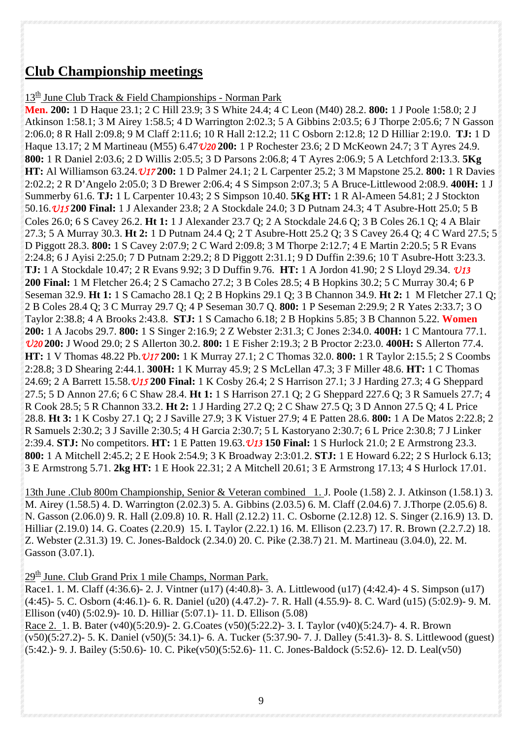## **Club Championship meetings**

 $13<sup>th</sup>$  June Club Track & Field Championships - Norman Park

**Men. 200:** 1 D Haque 23.1; 2 C Hill 23.9; 3 S White 24.4; 4 C Leon (M40) 28.2. **800:** 1 J Poole 1:58.0; 2 J Atkinson 1:58.1; 3 M Airey 1:58.5; 4 D Warrington 2:02.3; 5 A Gibbins 2:03.5; 6 J Thorpe 2:05.6; 7 N Gasson 2:06.0; 8 R Hall 2:09.8; 9 M Claff 2:11.6; 10 R Hall 2:12.2; 11 C Osborn 2:12.8; 12 D Hilliar 2:19.0. **TJ:** 1 D Haque 13.17; 2 M Martineau (M55) 6.47*U20* **200:** 1 P Rochester 23.6; 2 D McKeown 24.7; 3 T Ayres 24.9. **800:** 1 R Daniel 2:03.6; 2 D Willis 2:05.5; 3 D Parsons 2:06.8; 4 T Ayres 2:06.9; 5 A Letchford 2:13.3. **5Kg HT:** Al Williamson 63.24.*U17* **200:** 1 D Palmer 24.1; 2 L Carpenter 25.2; 3 M Mapstone 25.2. **800:** 1 R Davies 2:02.2; 2 R D'Angelo 2:05.0; 3 D Brewer 2:06.4; 4 S Simpson 2:07.3; 5 A Bruce-Littlewood 2:08.9. **400H:** 1 J Summerby 61.6. **TJ:** 1 L Carpenter 10.43; 2 S Simpson 10.40. **5Kg HT:** 1 R Al-Ameen 54.81; 2 J Stockton 50.16.*U15* **200 Final:** 1 J Alexander 23.8; 2 A Stockdale 24.0; 3 D Putnam 24.3; 4 T Asubre-Hott 25.0; 5 B Coles 26.0; 6 S Cavey 26.2. **Ht 1:** 1 J Alexander 23.7 Q; 2 A Stockdale 24.6 Q; 3 B Coles 26.1 Q; 4 A Blair 27.3; 5 A Murray 30.3. **Ht 2:** 1 D Putnam 24.4 Q; 2 T Asubre-Hott 25.2 Q; 3 S Cavey 26.4 Q; 4 C Ward 27.5; 5 D Piggott 28.3. **800:** 1 S Cavey 2:07.9; 2 C Ward 2:09.8; 3 M Thorpe 2:12.7; 4 E Martin 2:20.5; 5 R Evans 2:24.8; 6 J Ayisi 2:25.0; 7 D Putnam 2:29.2; 8 D Piggott 2:31.1; 9 D Duffin 2:39.6; 10 T Asubre-Hott 3:23.3. **TJ:** 1 A Stockdale 10.47; 2 R Evans 9.92; 3 D Duffin 9.76. **HT:** 1 A Jordon 41.90; 2 S Lloyd 29.34. *U13* **200 Final:** 1 M Fletcher 26.4; 2 S Camacho 27.2; 3 B Coles 28.5; 4 B Hopkins 30.2; 5 C Murray 30.4; 6 P Seseman 32.9. **Ht 1:** 1 S Camacho 28.1 Q; 2 B Hopkins 29.1 Q; 3 B Channon 34.9. **Ht 2:** 1 M Fletcher 27.1 Q; 2 B Coles 28.4 Q; 3 C Murray 29.7 Q; 4 P Seseman 30.7 Q. **800:** 1 P Seseman 2:29.9; 2 R Yates 2:33.7; 3 O Taylor 2:38.8; 4 A Brooks 2:43.8. **STJ:** 1 S Camacho 6.18; 2 B Hopkins 5.85; 3 B Channon 5.22. **Women 200:** 1 A Jacobs 29.7. **800:** 1 S Singer 2:16.9; 2 Z Webster 2:31.3; C Jones 2:34.0. **400H:** 1 C Mantoura 77.1. *U20* **200:** J Wood 29.0; 2 S Allerton 30.2. **800:** 1 E Fisher 2:19.3; 2 B Proctor 2:23.0. **400H:** S Allerton 77.4. **HT:** 1 V Thomas 48.22 Pb.*U17* **200:** 1 K Murray 27.1; 2 C Thomas 32.0. **800:** 1 R Taylor 2:15.5; 2 S Coombs 2:28.8; 3 D Shearing 2:44.1. **300H:** 1 K Murray 45.9; 2 S McLellan 47.3; 3 F Miller 48.6. **HT:** 1 C Thomas 24.69; 2 A Barrett 15.58.*U15* **200 Final:** 1 K Cosby 26.4; 2 S Harrison 27.1; 3 J Harding 27.3; 4 G Sheppard 27.5; 5 D Annon 27.6; 6 C Shaw 28.4. **Ht 1:** 1 S Harrison 27.1 Q; 2 G Sheppard 227.6 Q; 3 R Samuels 27.7; 4 R Cook 28.5; 5 R Channon 33.2. **Ht 2:** 1 J Harding 27.2 Q; 2 C Shaw 27.5 Q; 3 D Annon 27.5 Q; 4 L Price 28.8. **Ht 3:** 1 K Cosby 27.1 Q; 2 J Saville 27.9; 3 K Vistuer 27.9; 4 E Patten 28.6. **800:** 1 A De Matos 2:22.8; 2 R Samuels 2:30.2; 3 J Saville 2:30.5; 4 H Garcia 2:30.7; 5 L Kastoryano 2:30.7; 6 L Price 2:30.8; 7 J Linker 2:39.4. **STJ:** No competitors. **HT:** 1 E Patten 19.63.*U13* **150 Final:** 1 S Hurlock 21.0; 2 E Armstrong 23.3. **800:** 1 A Mitchell 2:45.2; 2 E Hook 2:54.9; 3 K Broadway 2:3:01.2. **STJ:** 1 E Howard 6.22; 2 S Hurlock 6.13; 3 E Armstrong 5.71. **2kg HT:** 1 E Hook 22.31; 2 A Mitchell 20.61; 3 E Armstrong 17.13; 4 S Hurlock 17.01.

13th June .Club 800m Championship, Senior & Veteran combined 1. J. Poole (1.58) 2. J. Atkinson (1.58.1) 3. M. Airey (1.58.5) 4. D. Warrington (2.02.3) 5. A. Gibbins (2.03.5) 6. M. Claff (2.04.6) 7. J.Thorpe (2.05.6) 8. N. Gasson (2.06.0) 9. R. Hall (2.09.8) 10. R. Hall (2.12.2) 11. C. Osborne (2.12.8) 12. S. Singer (2.16.9) 13. D. Hilliar (2.19.0) 14. G. Coates (2.20.9) 15. I. Taylor (2.22.1) 16. M. Ellison (2.23.7) 17. R. Brown (2.2.7.2) 18. Z. Webster (2.31.3) 19. C. Jones-Baldock (2.34.0) 20. C. Pike (2.38.7) 21. M. Martineau (3.04.0), 22. M. Gasson (3.07.1).

 $29<sup>th</sup>$  June. Club Grand Prix 1 mile Champs, Norman Park.

Race1. 1. M. Claff (4:36.6)- 2. J. Vintner (u17) (4:40.8)- 3. A. Littlewood (u17) (4:42.4)- 4 S. Simpson (u17) (4:45)- 5. C. Osborn (4:46.1)- 6. R. Daniel (u20) (4.47.2)- 7. R. Hall (4.55.9)- 8. C. Ward (u15) (5:02.9)- 9. M. Ellison (v40) (5:02.9)- 10. D. Hilliar (5:07.1)- 11. D. Ellison (5.08)

Race 2. 1. B. Bater (v40)(5:20.9)- 2. G.Coates (v50)(5:22.2)- 3. I. Taylor (v40)(5:24.7)- 4. R. Brown (v50)(5:27.2)- 5. K. Daniel (v50)(5: 34.1)- 6. A. Tucker (5:37.90- 7. J. Dalley (5:41.3)- 8. S. Littlewood (guest) (5:42.)- 9. J. Bailey (5:50.6)- 10. C. Pike(v50)(5:52.6)- 11. C. Jones-Baldock (5:52.6)- 12. D. Leal(v50)